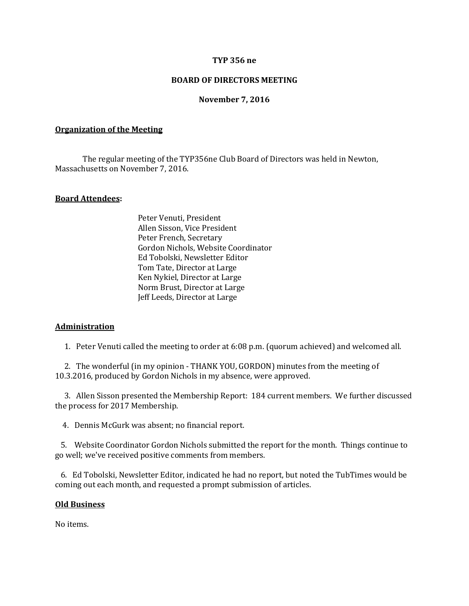## **TYP 356 ne**

## **BOARD OF DIRECTORS MEETING**

### **November 7, 2016**

#### **Organization of the Meeting**

The regular meeting of the TYP356ne Club Board of Directors was held in Newton, Massachusetts on November 7, 2016.

## **Board Attendees:**

Peter Venuti, President Allen Sisson, Vice President Peter French, Secretary Gordon Nichols, Website Coordinator Ed Tobolski, Newsletter Editor Tom Tate, Director at Large Ken Nykiel, Director at Large Norm Brust, Director at Large Jeff Leeds, Director at Large

#### **Administration**

1. Peter Venuti called the meeting to order at 6:08 p.m. (quorum achieved) and welcomed all.

 2. The wonderful (in my opinion - THANK YOU, GORDON) minutes from the meeting of 10.3.2016, produced by Gordon Nichols in my absence, were approved.

 3. Allen Sisson presented the Membership Report: 184 current members. We further discussed the process for 2017 Membership.

4. Dennis McGurk was absent; no financial report.

 5. Website Coordinator Gordon Nichols submitted the report for the month. Things continue to go well; we've received positive comments from members.

 6. Ed Tobolski, Newsletter Editor, indicated he had no report, but noted the TubTimes would be coming out each month, and requested a prompt submission of articles.

### **Old Business**

No items.